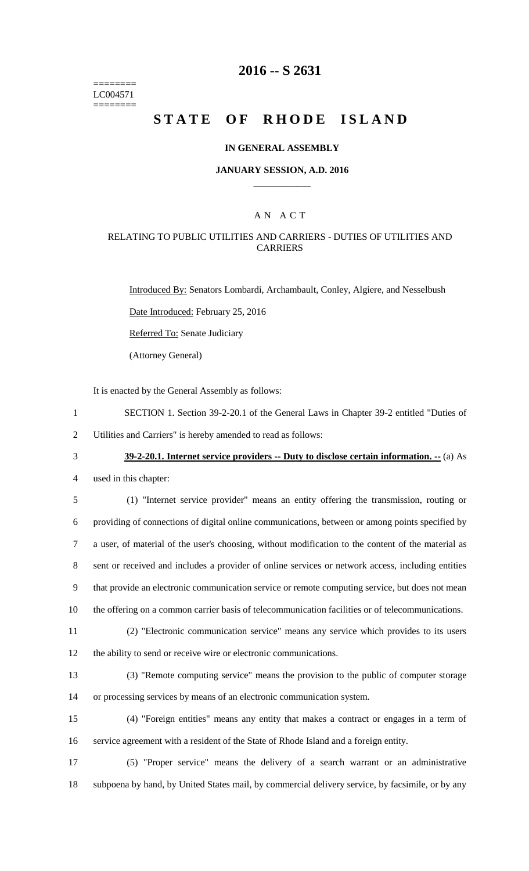======== LC004571 ========

# **2016 -- S 2631**

# STATE OF RHODE ISLAND

#### **IN GENERAL ASSEMBLY**

#### **JANUARY SESSION, A.D. 2016 \_\_\_\_\_\_\_\_\_\_\_\_**

## A N A C T

### RELATING TO PUBLIC UTILITIES AND CARRIERS - DUTIES OF UTILITIES AND CARRIERS

Introduced By: Senators Lombardi, Archambault, Conley, Algiere, and Nesselbush Date Introduced: February 25, 2016 Referred To: Senate Judiciary

(Attorney General)

It is enacted by the General Assembly as follows:

1 SECTION 1. Section 39-2-20.1 of the General Laws in Chapter 39-2 entitled "Duties of 2 Utilities and Carriers" is hereby amended to read as follows:

3 **39-2-20.1. Internet service providers -- Duty to disclose certain information. --** (a) As

4 used in this chapter:

 (1) "Internet service provider" means an entity offering the transmission, routing or providing of connections of digital online communications, between or among points specified by a user, of material of the user's choosing, without modification to the content of the material as sent or received and includes a provider of online services or network access, including entities that provide an electronic communication service or remote computing service, but does not mean the offering on a common carrier basis of telecommunication facilities or of telecommunications.

11 (2) "Electronic communication service" means any service which provides to its users

12 the ability to send or receive wire or electronic communications.

13 (3) "Remote computing service" means the provision to the public of computer storage 14 or processing services by means of an electronic communication system.

15 (4) "Foreign entities" means any entity that makes a contract or engages in a term of 16 service agreement with a resident of the State of Rhode Island and a foreign entity.

17 (5) "Proper service" means the delivery of a search warrant or an administrative 18 subpoena by hand, by United States mail, by commercial delivery service, by facsimile, or by any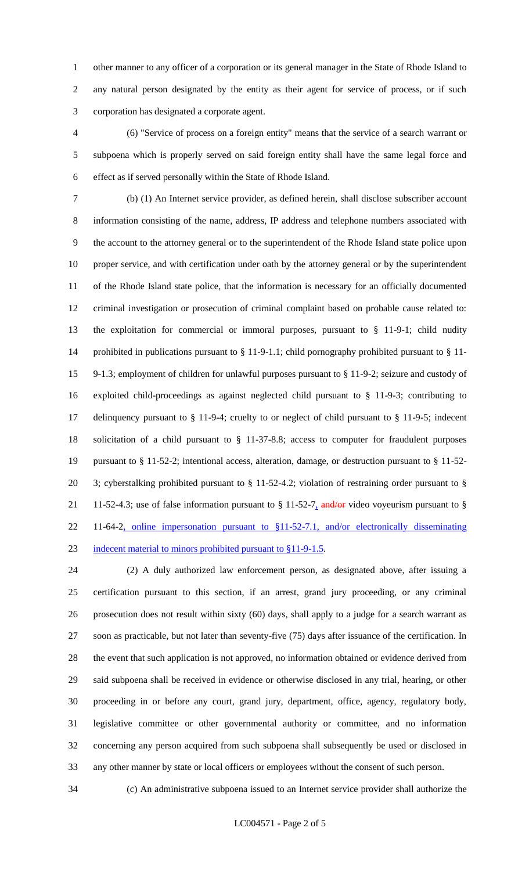other manner to any officer of a corporation or its general manager in the State of Rhode Island to any natural person designated by the entity as their agent for service of process, or if such corporation has designated a corporate agent.

 (6) "Service of process on a foreign entity" means that the service of a search warrant or subpoena which is properly served on said foreign entity shall have the same legal force and effect as if served personally within the State of Rhode Island.

 (b) (1) An Internet service provider, as defined herein, shall disclose subscriber account information consisting of the name, address, IP address and telephone numbers associated with the account to the attorney general or to the superintendent of the Rhode Island state police upon proper service, and with certification under oath by the attorney general or by the superintendent of the Rhode Island state police, that the information is necessary for an officially documented criminal investigation or prosecution of criminal complaint based on probable cause related to: the exploitation for commercial or immoral purposes, pursuant to § 11-9-1; child nudity prohibited in publications pursuant to § 11-9-1.1; child pornography prohibited pursuant to § 11- 9-1.3; employment of children for unlawful purposes pursuant to § 11-9-2; seizure and custody of exploited child-proceedings as against neglected child pursuant to § 11-9-3; contributing to delinquency pursuant to § 11-9-4; cruelty to or neglect of child pursuant to § 11-9-5; indecent solicitation of a child pursuant to § 11-37-8.8; access to computer for fraudulent purposes pursuant to § 11-52-2; intentional access, alteration, damage, or destruction pursuant to § 11-52- 3; cyberstalking prohibited pursuant to § 11-52-4.2; violation of restraining order pursuant to § 21 11-52-4.3; use of false information pursuant to  $\S 11-52-7$ , and/or video voyeurism pursuant to  $\S$  11-64-2, online impersonation pursuant to §11-52-7.1, and/or electronically disseminating 23 indecent material to minors prohibited pursuant to §11-9-1.5.

 (2) A duly authorized law enforcement person, as designated above, after issuing a certification pursuant to this section, if an arrest, grand jury proceeding, or any criminal prosecution does not result within sixty (60) days, shall apply to a judge for a search warrant as soon as practicable, but not later than seventy-five (75) days after issuance of the certification. In the event that such application is not approved, no information obtained or evidence derived from said subpoena shall be received in evidence or otherwise disclosed in any trial, hearing, or other proceeding in or before any court, grand jury, department, office, agency, regulatory body, legislative committee or other governmental authority or committee, and no information concerning any person acquired from such subpoena shall subsequently be used or disclosed in any other manner by state or local officers or employees without the consent of such person.

(c) An administrative subpoena issued to an Internet service provider shall authorize the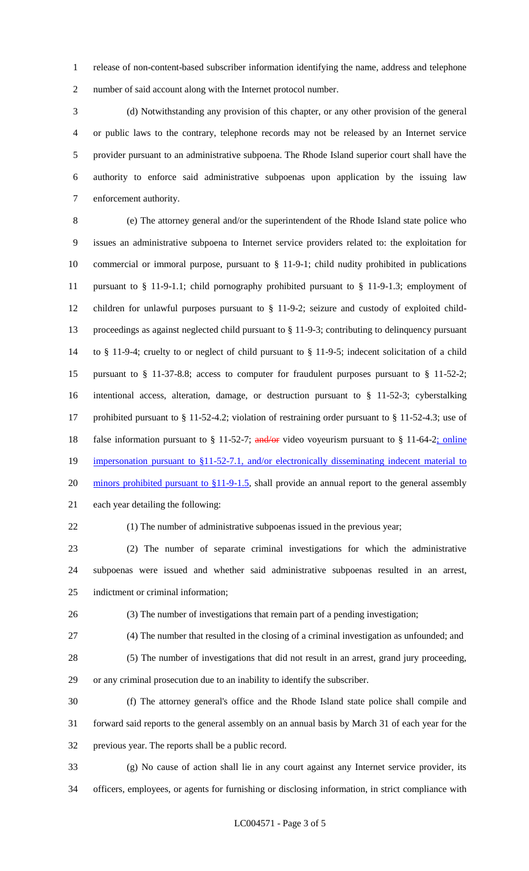release of non-content-based subscriber information identifying the name, address and telephone number of said account along with the Internet protocol number.

 (d) Notwithstanding any provision of this chapter, or any other provision of the general or public laws to the contrary, telephone records may not be released by an Internet service provider pursuant to an administrative subpoena. The Rhode Island superior court shall have the authority to enforce said administrative subpoenas upon application by the issuing law enforcement authority.

 (e) The attorney general and/or the superintendent of the Rhode Island state police who issues an administrative subpoena to Internet service providers related to: the exploitation for commercial or immoral purpose, pursuant to § 11-9-1; child nudity prohibited in publications pursuant to § 11-9-1.1; child pornography prohibited pursuant to § 11-9-1.3; employment of children for unlawful purposes pursuant to § 11-9-2; seizure and custody of exploited child- proceedings as against neglected child pursuant to § 11-9-3; contributing to delinquency pursuant to § 11-9-4; cruelty to or neglect of child pursuant to § 11-9-5; indecent solicitation of a child pursuant to § 11-37-8.8; access to computer for fraudulent purposes pursuant to § 11-52-2; intentional access, alteration, damage, or destruction pursuant to § 11-52-3; cyberstalking prohibited pursuant to § 11-52-4.2; violation of restraining order pursuant to § 11-52-4.3; use of 18 false information pursuant to § 11-52-7; and/or video voyeurism pursuant to § 11-64-2; online 19 impersonation pursuant to §11-52-7.1, and/or electronically disseminating indecent material to 20 minors prohibited pursuant to §11-9-1.5, shall provide an annual report to the general assembly each year detailing the following:

(1) The number of administrative subpoenas issued in the previous year;

 (2) The number of separate criminal investigations for which the administrative subpoenas were issued and whether said administrative subpoenas resulted in an arrest, indictment or criminal information;

(3) The number of investigations that remain part of a pending investigation;

(4) The number that resulted in the closing of a criminal investigation as unfounded; and

 (5) The number of investigations that did not result in an arrest, grand jury proceeding, or any criminal prosecution due to an inability to identify the subscriber.

 (f) The attorney general's office and the Rhode Island state police shall compile and forward said reports to the general assembly on an annual basis by March 31 of each year for the previous year. The reports shall be a public record.

 (g) No cause of action shall lie in any court against any Internet service provider, its officers, employees, or agents for furnishing or disclosing information, in strict compliance with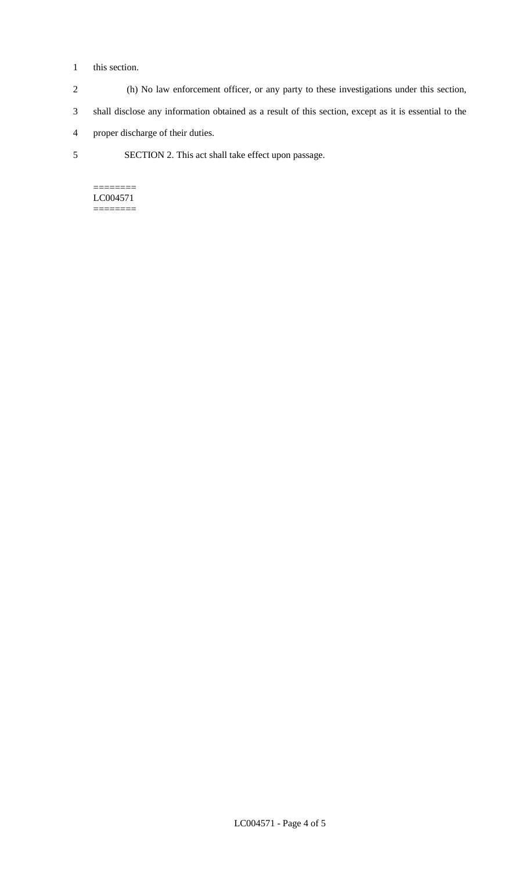### 1 this section.

- 2 (h) No law enforcement officer, or any party to these investigations under this section,
- 3 shall disclose any information obtained as a result of this section, except as it is essential to the
- 4 proper discharge of their duties.
- 5 SECTION 2. This act shall take effect upon passage.

 $=$ LC004571 ========